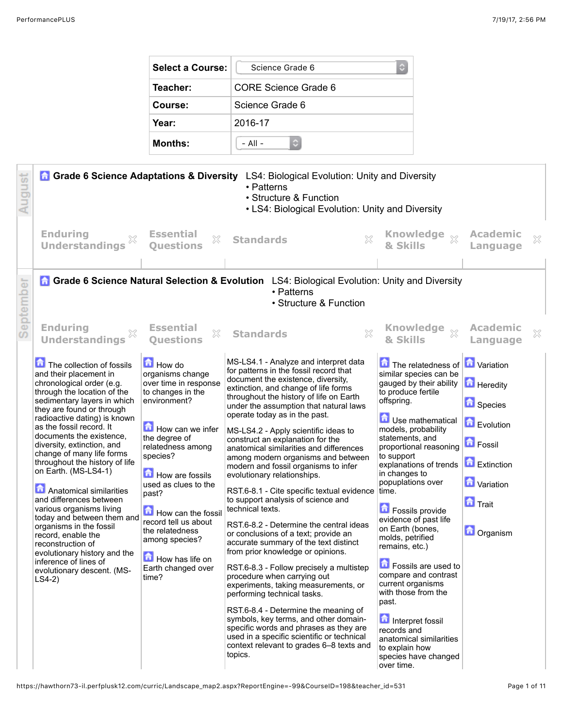| Select a Course: | Science Grade 6      |
|------------------|----------------------|
| Teacher:         | CORE Science Grade 6 |
| Course:          | Science Grade 6      |
| Year:            | 2016-17              |
| <b>Months:</b>   | $-$ All $-$          |

| August    | <b>n</b> Grade 6 Science Adaptations & Diversity                                                                                                                                                                                                                                                                                                                                                                                                                                                                                                                                                                                                                                  |                                                                                                                                                                                                                                                                                                                                                                | LS4: Biological Evolution: Unity and Diversity<br>• Patterns<br>• Structure & Function<br>• LS4: Biological Evolution: Unity and Diversity                                                                                                                                                                                                                                                                                                                                                                                                                                                                                                                                                                                                                                                                                                                                                                                                                                                                                                                                                                                                                                               |                                                                                                                                                                                                                                                                                                                                                                                                                                                                                                                                                                                                                                                        |                                                                                                                                                |   |
|-----------|-----------------------------------------------------------------------------------------------------------------------------------------------------------------------------------------------------------------------------------------------------------------------------------------------------------------------------------------------------------------------------------------------------------------------------------------------------------------------------------------------------------------------------------------------------------------------------------------------------------------------------------------------------------------------------------|----------------------------------------------------------------------------------------------------------------------------------------------------------------------------------------------------------------------------------------------------------------------------------------------------------------------------------------------------------------|------------------------------------------------------------------------------------------------------------------------------------------------------------------------------------------------------------------------------------------------------------------------------------------------------------------------------------------------------------------------------------------------------------------------------------------------------------------------------------------------------------------------------------------------------------------------------------------------------------------------------------------------------------------------------------------------------------------------------------------------------------------------------------------------------------------------------------------------------------------------------------------------------------------------------------------------------------------------------------------------------------------------------------------------------------------------------------------------------------------------------------------------------------------------------------------|--------------------------------------------------------------------------------------------------------------------------------------------------------------------------------------------------------------------------------------------------------------------------------------------------------------------------------------------------------------------------------------------------------------------------------------------------------------------------------------------------------------------------------------------------------------------------------------------------------------------------------------------------------|------------------------------------------------------------------------------------------------------------------------------------------------|---|
|           | <b>Enduring</b><br><b>Understandings</b>                                                                                                                                                                                                                                                                                                                                                                                                                                                                                                                                                                                                                                          | <b>Essential</b><br>X<br><b>Ouestions</b>                                                                                                                                                                                                                                                                                                                      | <b>Standards</b><br>×                                                                                                                                                                                                                                                                                                                                                                                                                                                                                                                                                                                                                                                                                                                                                                                                                                                                                                                                                                                                                                                                                                                                                                    | Knowledge xx<br>& Skills                                                                                                                                                                                                                                                                                                                                                                                                                                                                                                                                                                                                                               | <b>Academic</b><br>Language                                                                                                                    | × |
| September |                                                                                                                                                                                                                                                                                                                                                                                                                                                                                                                                                                                                                                                                                   |                                                                                                                                                                                                                                                                                                                                                                | Grade 6 Science Natural Selection & Evolution LS4: Biological Evolution: Unity and Diversity<br>• Patterns<br>• Structure & Function                                                                                                                                                                                                                                                                                                                                                                                                                                                                                                                                                                                                                                                                                                                                                                                                                                                                                                                                                                                                                                                     |                                                                                                                                                                                                                                                                                                                                                                                                                                                                                                                                                                                                                                                        |                                                                                                                                                |   |
|           | <b>Enduring</b><br><b>Understandings</b>                                                                                                                                                                                                                                                                                                                                                                                                                                                                                                                                                                                                                                          | <b>Essential</b><br>X<br><b>Ouestions</b>                                                                                                                                                                                                                                                                                                                      | $\chi$<br><b>Standards</b>                                                                                                                                                                                                                                                                                                                                                                                                                                                                                                                                                                                                                                                                                                                                                                                                                                                                                                                                                                                                                                                                                                                                                               | & Skills                                                                                                                                                                                                                                                                                                                                                                                                                                                                                                                                                                                                                                               | <b>Academic</b><br>Language                                                                                                                    | × |
|           | The collection of fossils<br>and their placement in<br>chronological order (e.g.<br>through the location of the<br>sedimentary layers in which<br>they are found or through<br>radioactive dating) is known<br>as the fossil record. It<br>documents the existence.<br>diversity, extinction, and<br>change of many life forms<br>throughout the history of life<br>on Earth. (MS-LS4-1)<br>Anatomical similarities<br>and differences between<br>various organisms living<br>today and between them and<br>organisms in the fossil<br>record, enable the<br>reconstruction of<br>evolutionary history and the<br>inference of lines of<br>evolutionary descent. (MS-<br>$LS4-2)$ | <b>How do</b><br>organisms change<br>over time in response<br>to changes in the<br>environment?<br>How can we infer<br>the degree of<br>relatedness among<br>species?<br>How are fossils<br>used as clues to the<br>past?<br>How can the fossil<br>record tell us about<br>the relatedness<br>among species?<br>How has life on<br>Earth changed over<br>time? | MS-LS4.1 - Analyze and interpret data<br>for patterns in the fossil record that<br>document the existence, diversity,<br>extinction, and change of life forms<br>throughout the history of life on Earth<br>under the assumption that natural laws<br>operate today as in the past.<br>MS-LS4.2 - Apply scientific ideas to<br>construct an explanation for the<br>anatomical similarities and differences<br>among modern organisms and between<br>modern and fossil organisms to infer<br>evolutionary relationships.<br>RST.6-8.1 - Cite specific textual evidence time.<br>to support analysis of science and<br>technical texts.<br>RST.6-8.2 - Determine the central ideas<br>or conclusions of a text; provide an<br>accurate summary of the text distinct<br>from prior knowledge or opinions.<br>RST.6-8.3 - Follow precisely a multistep<br>procedure when carrying out<br>experiments, taking measurements, or<br>performing technical tasks.<br>RST.6-8.4 - Determine the meaning of<br>symbols, key terms, and other domain-<br>specific words and phrases as they are<br>used in a specific scientific or technical<br>context relevant to grades 6-8 texts and<br>topics. | The relatedness of <b>n</b> Variation<br>similar species can be<br>gauged by their ability<br>to produce fertile<br>offspring.<br>Use mathematical<br>models, probability<br>statements, and<br>proportional reasoning<br>to support<br>explanations of trends<br>in changes to<br>popuplations over<br><b>D</b> Fossils provide<br>evidence of past life<br>on Earth (bones,<br>molds, petrified<br>remains, etc.)<br><b>D</b> Fossils are used to<br>compare and contrast<br>current organisms<br>with those from the<br>past.<br>Interpret fossil<br>records and<br>anatomical similarities<br>to explain how<br>species have changed<br>over time. | <b>Heredity</b><br><b>D</b> Species<br>Evolution<br><b>D</b> Fossil<br>Extinction<br><b>M</b> Variation<br><b>n</b> Trait<br><b>D</b> Organism |   |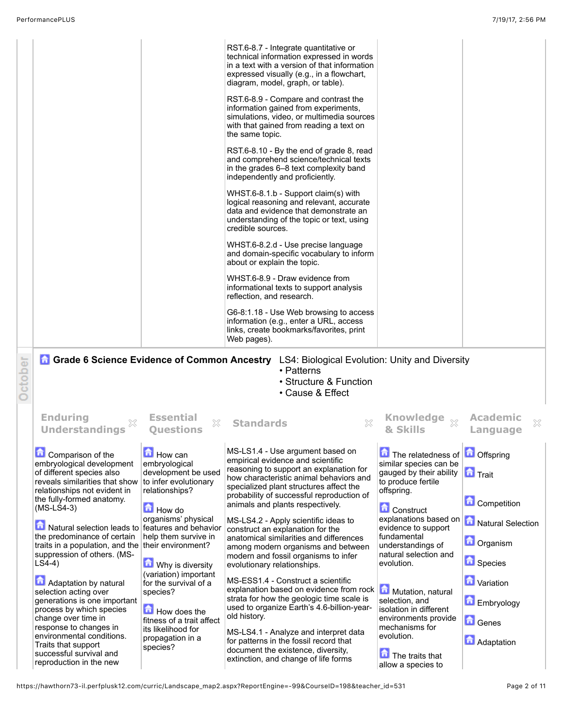|                                                                                                                                                                                                                                                                                                                                                                                                                                                                  |                                                                                                                                                                                                                                       | RST.6-8.7 - Integrate quantitative or<br>technical information expressed in words<br>in a text with a version of that information<br>expressed visually (e.g., in a flowchart,<br>diagram, model, graph, or table).<br>RST.6-8.9 - Compare and contrast the<br>information gained from experiments,<br>simulations, video, or multimedia sources<br>with that gained from reading a text on<br>the same topic.<br>RST.6-8.10 - By the end of grade 8, read<br>and comprehend science/technical texts<br>in the grades 6–8 text complexity band<br>independently and proficiently.<br>WHST.6-8.1.b - Support claim(s) with<br>logical reasoning and relevant, accurate<br>data and evidence that demonstrate an<br>understanding of the topic or text, using<br>credible sources.<br>WHST.6-8.2.d - Use precise language<br>and domain-specific vocabulary to inform<br>about or explain the topic.<br>WHST.6-8.9 - Draw evidence from<br>informational texts to support analysis<br>reflection, and research. |                                                                                                                                                                                                                                                                                                                      |                                                                                                                                        |
|------------------------------------------------------------------------------------------------------------------------------------------------------------------------------------------------------------------------------------------------------------------------------------------------------------------------------------------------------------------------------------------------------------------------------------------------------------------|---------------------------------------------------------------------------------------------------------------------------------------------------------------------------------------------------------------------------------------|---------------------------------------------------------------------------------------------------------------------------------------------------------------------------------------------------------------------------------------------------------------------------------------------------------------------------------------------------------------------------------------------------------------------------------------------------------------------------------------------------------------------------------------------------------------------------------------------------------------------------------------------------------------------------------------------------------------------------------------------------------------------------------------------------------------------------------------------------------------------------------------------------------------------------------------------------------------------------------------------------------------|----------------------------------------------------------------------------------------------------------------------------------------------------------------------------------------------------------------------------------------------------------------------------------------------------------------------|----------------------------------------------------------------------------------------------------------------------------------------|
|                                                                                                                                                                                                                                                                                                                                                                                                                                                                  |                                                                                                                                                                                                                                       | G6-8:1.18 - Use Web browsing to access<br>information (e.g., enter a URL, access<br>links, create bookmarks/favorites, print<br>Web pages).                                                                                                                                                                                                                                                                                                                                                                                                                                                                                                                                                                                                                                                                                                                                                                                                                                                                   |                                                                                                                                                                                                                                                                                                                      |                                                                                                                                        |
| <b>A</b> Grade 6 Science Evidence of Common Ancestry                                                                                                                                                                                                                                                                                                                                                                                                             |                                                                                                                                                                                                                                       | LS4: Biological Evolution: Unity and Diversity<br>• Patterns<br>• Structure & Function<br>• Cause & Effect                                                                                                                                                                                                                                                                                                                                                                                                                                                                                                                                                                                                                                                                                                                                                                                                                                                                                                    |                                                                                                                                                                                                                                                                                                                      |                                                                                                                                        |
| <b>Enduring</b><br><b>Understandings</b>                                                                                                                                                                                                                                                                                                                                                                                                                         | <b>Essential</b><br>X<br><b>Ouestions</b>                                                                                                                                                                                             | <b>Standards</b>                                                                                                                                                                                                                                                                                                                                                                                                                                                                                                                                                                                                                                                                                                                                                                                                                                                                                                                                                                                              | Knowledge xx<br>& Skills                                                                                                                                                                                                                                                                                             | <b>Academic</b><br>Language                                                                                                            |
| Comparison of the<br>embryological development<br>of different species also<br>reveals similarities that show<br>relationships not evident in<br>the fully-formed anatomy.<br>$(MS-LS4-3)$<br>Natural selection leads to features and behavior<br>the predominance of certain<br>traits in a population, and the their environment?<br>suppression of others. (MS-<br>$LS4-4)$<br>Adaptation by natural<br>selection acting over<br>generations is one important | How can<br>embryological<br>development be used<br>to infer evolutionary<br>relationships?<br>How do<br>organisms' physical<br>help them survive in<br>Why is diversity<br>(variation) important<br>for the survival of a<br>species? | MS-LS1.4 - Use argument based on<br>empirical evidence and scientific<br>reasoning to support an explanation for<br>how characteristic animal behaviors and<br>specialized plant structures affect the<br>probability of successful reproduction of<br>animals and plants respectively.<br>MS-LS4.2 - Apply scientific ideas to<br>construct an explanation for the<br>anatomical similarities and differences<br>among modern organisms and between<br>modern and fossil organisms to infer<br>evolutionary relationships.<br>MS-ESS1.4 - Construct a scientific<br>explanation based on evidence from rock<br>strata for how the geologic time scale is                                                                                                                                                                                                                                                                                                                                                     | The relatedness of <b>n</b> Offspring<br>similar species can be<br>gauged by their ability<br>to produce fertile<br>offspring.<br><b>Construct</b><br>explanations based on<br>evidence to support<br>fundamental<br>understandings of<br>natural selection and<br>evolution.<br>Mutation, natural<br>selection, and | <b>n</b> Trait<br><b>Competition</b><br>Natural Selection<br><b>D</b> Organism<br><b>D</b> Species<br><b>D</b> Variation<br>Embryology |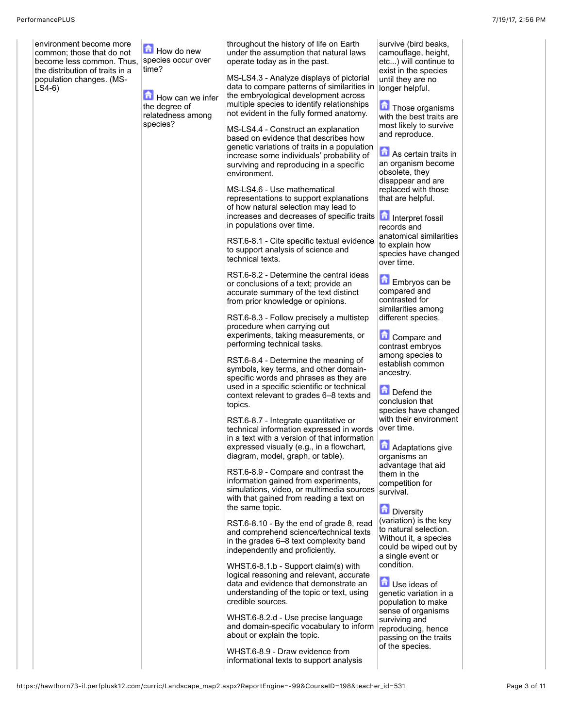| environment become more<br>common; those that do not<br>become less common. Thus,<br>the distribution of traits in a<br>population changes. (MS-<br>$LS4-6$ | How do new<br>species occur over<br>time?<br>How can we infer<br>the degree of<br>relatedness among<br>species? | throughout the history of life on Earth<br>under the assumption that natural laws<br>operate today as in the past.<br>MS-LS4.3 - Analyze displays of pictorial<br>data to compare patterns of similarities in<br>the embryological development across<br>multiple species to identify relationships<br>not evident in the fully formed anatomy.<br>MS-LS4.4 - Construct an explanation<br>based on evidence that describes how<br>genetic variations of traits in a population<br>increase some individuals' probability of<br>surviving and reproducing in a specific<br>environment.<br>MS-LS4.6 - Use mathematical<br>representations to support explanations<br>of how natural selection may lead to<br>increases and decreases of specific traits<br>in populations over time.<br>RST.6-8.1 - Cite specific textual evidence<br>to support analysis of science and<br>technical texts.<br>RST.6-8.2 - Determine the central ideas<br>or conclusions of a text; provide an<br>accurate summary of the text distinct<br>from prior knowledge or opinions.                                                                                                                                                                                                                                                                                                       | survive (bird beaks,<br>camouflage, height,<br>etc) will continue to<br>exist in the species<br>until they are no<br>longer helpful.<br>Those organisms<br>with the best traits are<br>most likely to survive<br>and reproduce.<br>As certain traits in<br>an organism become<br>obsolete, they<br>disappear and are<br>replaced with those<br>that are helpful.<br>Interpret fossil<br>records and<br>anatomical similarities<br>to explain how<br>species have changed<br>over time.<br>Embryos can be<br>compared and<br>contrasted for                                                                                                                                                    |
|-------------------------------------------------------------------------------------------------------------------------------------------------------------|-----------------------------------------------------------------------------------------------------------------|--------------------------------------------------------------------------------------------------------------------------------------------------------------------------------------------------------------------------------------------------------------------------------------------------------------------------------------------------------------------------------------------------------------------------------------------------------------------------------------------------------------------------------------------------------------------------------------------------------------------------------------------------------------------------------------------------------------------------------------------------------------------------------------------------------------------------------------------------------------------------------------------------------------------------------------------------------------------------------------------------------------------------------------------------------------------------------------------------------------------------------------------------------------------------------------------------------------------------------------------------------------------------------------------------------------------------------------------------------------------|-----------------------------------------------------------------------------------------------------------------------------------------------------------------------------------------------------------------------------------------------------------------------------------------------------------------------------------------------------------------------------------------------------------------------------------------------------------------------------------------------------------------------------------------------------------------------------------------------------------------------------------------------------------------------------------------------|
|                                                                                                                                                             |                                                                                                                 | RST.6-8.3 - Follow precisely a multistep<br>procedure when carrying out<br>experiments, taking measurements, or<br>performing technical tasks.<br>RST.6-8.4 - Determine the meaning of<br>symbols, key terms, and other domain-<br>specific words and phrases as they are<br>used in a specific scientific or technical<br>context relevant to grades 6-8 texts and<br>topics.<br>RST.6-8.7 - Integrate quantitative or<br>technical information expressed in words<br>in a text with a version of that information<br>expressed visually (e.g., in a flowchart,<br>diagram, model, graph, or table).<br>RST.6-8.9 - Compare and contrast the<br>information gained from experiments,<br>simulations, video, or multimedia sources<br>with that gained from reading a text on<br>the same topic.<br>RST.6-8.10 - By the end of grade 8, read<br>and comprehend science/technical texts<br>in the grades 6-8 text complexity band<br>independently and proficiently.<br>WHST.6-8.1.b - Support claim(s) with<br>logical reasoning and relevant, accurate<br>data and evidence that demonstrate an<br>understanding of the topic or text, using<br>credible sources.<br>WHST.6-8.2.d - Use precise language<br>and domain-specific vocabulary to inform<br>about or explain the topic.<br>WHST.6-8.9 - Draw evidence from<br>informational texts to support analysis | similarities among<br>different species.<br><b>Compare and</b><br>contrast embryos<br>among species to<br>establish common<br>ancestry.<br>Defend the<br>conclusion that<br>species have changed<br>with their environment<br>over time.<br><b>A</b> Adaptations give<br>organisms an<br>advantage that aid<br>them in the<br>competition for<br>survival.<br>Diversity<br>(variation) is the key<br>to natural selection.<br>Without it, a species<br>could be wiped out by<br>a single event or<br>condition.<br>缶<br>Use ideas of<br>genetic variation in a<br>population to make<br>sense of organisms<br>surviving and<br>reproducing, hence<br>passing on the traits<br>of the species. |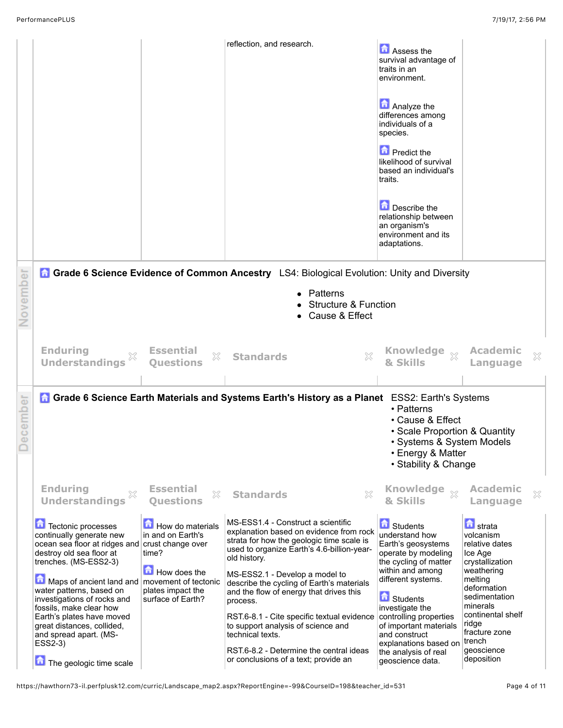|             |                                                                                                                                                                                                                                                                                                                                                                                                                                      |                                                                                                          | reflection, and research.                                                                                                                                                                                                                                                                                                                                                                                                                                                                                                 | Assess the<br>survival advantage of<br>traits in an<br>environment.<br>Analyze the<br>differences among<br>individuals of a<br>species.<br><b>n</b> Predict the<br>likelihood of survival<br>based an individual's<br>traits.<br>Describe the<br>relationship between<br>an organism's<br>environment and its<br>adaptations.         |                                                                                                                                                                                                                                         |  |
|-------------|--------------------------------------------------------------------------------------------------------------------------------------------------------------------------------------------------------------------------------------------------------------------------------------------------------------------------------------------------------------------------------------------------------------------------------------|----------------------------------------------------------------------------------------------------------|---------------------------------------------------------------------------------------------------------------------------------------------------------------------------------------------------------------------------------------------------------------------------------------------------------------------------------------------------------------------------------------------------------------------------------------------------------------------------------------------------------------------------|---------------------------------------------------------------------------------------------------------------------------------------------------------------------------------------------------------------------------------------------------------------------------------------------------------------------------------------|-----------------------------------------------------------------------------------------------------------------------------------------------------------------------------------------------------------------------------------------|--|
| ovember     |                                                                                                                                                                                                                                                                                                                                                                                                                                      |                                                                                                          | <b>A Grade 6 Science Evidence of Common Ancestry</b> LS4: Biological Evolution: Unity and Diversity<br>Patterns<br><b>Structure &amp; Function</b><br>Cause & Effect                                                                                                                                                                                                                                                                                                                                                      |                                                                                                                                                                                                                                                                                                                                       |                                                                                                                                                                                                                                         |  |
|             | <b>Enduring</b><br><b>Understandings</b>                                                                                                                                                                                                                                                                                                                                                                                             | <b>Essential</b><br>×<br><b>Questions</b>                                                                | $\chi$<br><b>Standards</b>                                                                                                                                                                                                                                                                                                                                                                                                                                                                                                | Knowledge xx<br>& Skills                                                                                                                                                                                                                                                                                                              | <b>Academic</b><br>X<br>Language                                                                                                                                                                                                        |  |
| cember<br>Φ |                                                                                                                                                                                                                                                                                                                                                                                                                                      |                                                                                                          | <b>A Grade 6 Science Earth Materials and Systems Earth's History as a Planet</b> ESS2: Earth's Systems                                                                                                                                                                                                                                                                                                                                                                                                                    | • Patterns<br>• Cause & Effect<br>• Scale Proportion & Quantity<br>• Systems & System Models<br>• Energy & Matter<br>• Stability & Change                                                                                                                                                                                             |                                                                                                                                                                                                                                         |  |
|             | <b>Enduring</b><br>×<br><b>Understandings</b>                                                                                                                                                                                                                                                                                                                                                                                        | <b>Essential</b><br>X<br><b>Questions</b>                                                                | X<br><b>Standards</b>                                                                                                                                                                                                                                                                                                                                                                                                                                                                                                     | <b>Knowledge</b><br>$\chi$<br>& Skills                                                                                                                                                                                                                                                                                                | <b>Academic</b><br>×<br>Language                                                                                                                                                                                                        |  |
|             | Tectonic processes<br>continually generate new<br>ocean sea floor at ridges and crust change over<br>destroy old sea floor at<br>trenches. (MS-ESS2-3)<br>$\bigcap$ Maps of ancient land and   movement of tectonic<br>water patterns, based on<br>investigations of rocks and<br>fossils, make clear how<br>Earth's plates have moved<br>great distances, collided,<br>and spread apart. (MS-<br>ESS2-3)<br>The geologic time scale | How do materials<br>in and on Earth's<br>time?<br>How does the<br>plates impact the<br>surface of Earth? | MS-ESS1.4 - Construct a scientific<br>explanation based on evidence from rock<br>strata for how the geologic time scale is<br>used to organize Earth's 4.6-billion-year-<br>old history.<br>MS-ESS2.1 - Develop a model to<br>describe the cycling of Earth's materials<br>and the flow of energy that drives this<br>process.<br>RST.6-8.1 - Cite specific textual evidence<br>to support analysis of science and<br>technical texts.<br>RST.6-8.2 - Determine the central ideas<br>or conclusions of a text; provide an | <b>B</b> Students<br>understand how<br>Earth's geosystems<br>operate by modeling<br>the cycling of matter<br>within and among<br>different systems.<br><b>C</b> Students<br>investigate the<br>controlling properties<br>of important materials<br>and construct<br>explanations based on<br>the analysis of real<br>geoscience data. | <b>n</b> strata<br>volcanism<br>relative dates<br>Ice Age<br>crystallization<br>weathering<br>melting<br>deformation<br>sedimentation<br>minerals<br>continental shelf<br>ridge<br>fracture zone<br>∣trench<br>geoscience<br>deposition |  |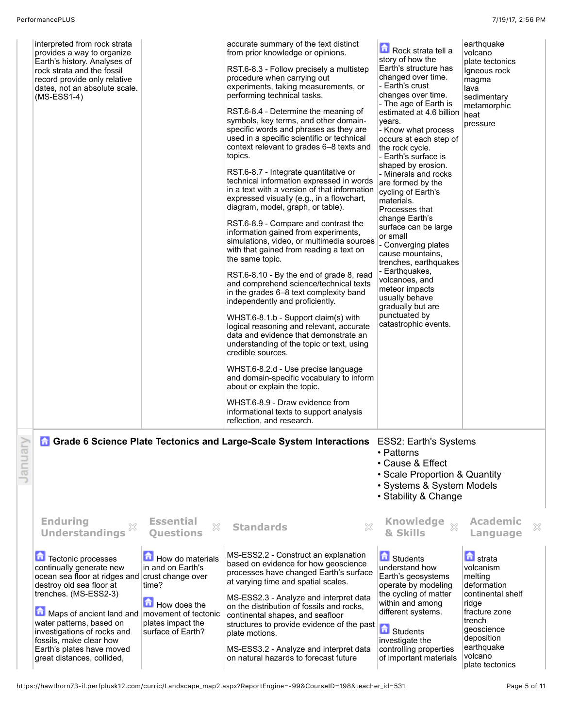| interpreted from rock strata<br>provides a way to organize<br>Earth's history. Analyses of<br>rock strata and the fossil<br>record provide only relative<br>dates, not an absolute scale.<br>$(MS-ESS1-4)$                                                                                                                                       |                                                                                                                                                       | accurate summary of the text distinct<br>from prior knowledge or opinions.<br>RST.6-8.3 - Follow precisely a multistep<br>procedure when carrying out<br>experiments, taking measurements, or<br>performing technical tasks.<br>RST.6-8.4 - Determine the meaning of<br>symbols, key terms, and other domain-<br>specific words and phrases as they are<br>used in a specific scientific or technical<br>context relevant to grades 6-8 texts and<br>topics.<br>RST.6-8.7 - Integrate quantitative or<br>technical information expressed in words<br>in a text with a version of that information<br>expressed visually (e.g., in a flowchart,<br>diagram, model, graph, or table).<br>RST.6-8.9 - Compare and contrast the<br>information gained from experiments,<br>simulations, video, or multimedia sources<br>with that gained from reading a text on<br>the same topic.<br>RST.6-8.10 - By the end of grade 8, read<br>and comprehend science/technical texts<br>in the grades 6–8 text complexity band<br>independently and proficiently.<br>WHST.6-8.1.b - Support claim(s) with<br>logical reasoning and relevant, accurate<br>data and evidence that demonstrate an<br>understanding of the topic or text, using<br>credible sources.<br>WHST.6-8.2.d - Use precise language<br>and domain-specific vocabulary to inform<br>about or explain the topic.<br>WHST.6-8.9 - Draw evidence from<br>informational texts to support analysis | Rock strata tell a<br>story of how the<br>Earth's structure has<br>changed over time.<br>- Earth's crust<br>changes over time.<br>- The age of Earth is<br>estimated at 4.6 billion<br>vears.<br>- Know what process<br>occurs at each step of<br>the rock cycle.<br>- Earth's surface is<br>shaped by erosion.<br>- Minerals and rocks<br>are formed by the<br>cycling of Earth's<br>materials.<br>Processes that<br>change Earth's<br>surface can be large<br>or small<br>- Converging plates<br>cause mountains.<br>trenches, earthquakes<br>- Earthquakes,<br>volcanoes, and<br>meteor impacts<br>usually behave<br>gradually but are<br>punctuated by<br>catastrophic events. | earthquake<br>volcano<br>plate tectonics<br>Igneous rock<br>magma<br>lava<br>sedimentary<br>metamorphic<br>heat<br>pressure                                                |   |
|--------------------------------------------------------------------------------------------------------------------------------------------------------------------------------------------------------------------------------------------------------------------------------------------------------------------------------------------------|-------------------------------------------------------------------------------------------------------------------------------------------------------|--------------------------------------------------------------------------------------------------------------------------------------------------------------------------------------------------------------------------------------------------------------------------------------------------------------------------------------------------------------------------------------------------------------------------------------------------------------------------------------------------------------------------------------------------------------------------------------------------------------------------------------------------------------------------------------------------------------------------------------------------------------------------------------------------------------------------------------------------------------------------------------------------------------------------------------------------------------------------------------------------------------------------------------------------------------------------------------------------------------------------------------------------------------------------------------------------------------------------------------------------------------------------------------------------------------------------------------------------------------------------------------------------------------------------------------------------|------------------------------------------------------------------------------------------------------------------------------------------------------------------------------------------------------------------------------------------------------------------------------------------------------------------------------------------------------------------------------------------------------------------------------------------------------------------------------------------------------------------------------------------------------------------------------------------------------------------------------------------------------------------------------------|----------------------------------------------------------------------------------------------------------------------------------------------------------------------------|---|
|                                                                                                                                                                                                                                                                                                                                                  |                                                                                                                                                       | reflection, and research.<br><b>A Grade 6 Science Plate Tectonics and Large-Scale System Interactions</b> ESS2: Earth's Systems                                                                                                                                                                                                                                                                                                                                                                                                                                                                                                                                                                                                                                                                                                                                                                                                                                                                                                                                                                                                                                                                                                                                                                                                                                                                                                                  | • Patterns<br>• Cause & Effect<br>• Scale Proportion & Quantity<br>• Systems & System Models<br>• Stability & Change                                                                                                                                                                                                                                                                                                                                                                                                                                                                                                                                                               |                                                                                                                                                                            |   |
| <b>Enduring</b><br>X<br><b>Understandings</b><br>Tectonic processes<br>continually generate new<br>ocean sea floor at ridges and crust change over<br>destroy old sea floor at<br>trenches. (MS-ESS2-3)<br>Maps of ancient land and   movement of tectonic<br>water patterns, based on<br>investigations of rocks and<br>fossils, make clear how | <b>Essential</b><br>X<br><b>Ouestions</b><br>How do materials<br>in and on Earth's<br>time?<br>How does the<br>plates impact the<br>surface of Earth? | $\mathbb{S}^2$<br><b>Standards</b><br>MS-ESS2.2 - Construct an explanation<br>based on evidence for how geoscience<br>processes have changed Earth's surface<br>at varying time and spatial scales.<br>MS-ESS2.3 - Analyze and interpret data<br>on the distribution of fossils and rocks,<br>continental shapes, and seafloor<br>structures to provide evidence of the past<br>plate motions.                                                                                                                                                                                                                                                                                                                                                                                                                                                                                                                                                                                                                                                                                                                                                                                                                                                                                                                                                                                                                                                   | <b>Knowledge</b><br>$\chi$<br>& Skills<br><b>B</b> Students<br>understand how<br>Earth's geosystems<br>operate by modeling<br>the cycling of matter<br>within and among<br>different systems.<br>Students<br>investigate the                                                                                                                                                                                                                                                                                                                                                                                                                                                       | <b>Academic</b><br>Language<br><b>n</b> strata<br>volcanism<br>melting<br>deformation<br>continental shelf<br>ridge<br>fracture zone<br>trench<br>geoscience<br>deposition | X |
| Earth's plates have moved<br>great distances, collided,                                                                                                                                                                                                                                                                                          |                                                                                                                                                       | MS-ESS3.2 - Analyze and interpret data<br>on natural hazards to forecast future                                                                                                                                                                                                                                                                                                                                                                                                                                                                                                                                                                                                                                                                                                                                                                                                                                                                                                                                                                                                                                                                                                                                                                                                                                                                                                                                                                  | controlling properties<br>of important materials                                                                                                                                                                                                                                                                                                                                                                                                                                                                                                                                                                                                                                   | earthquake<br>volcano<br>plate tectonics                                                                                                                                   |   |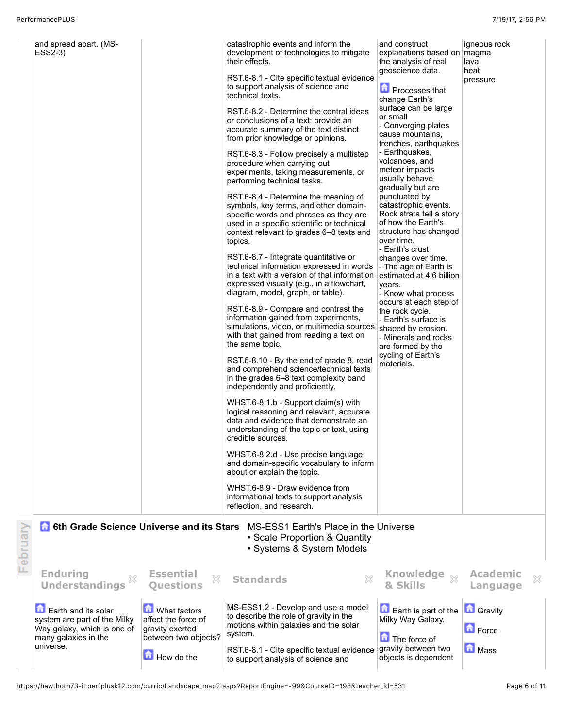L

| and spread apart. (MS-<br>ESS2-3)<br><b>6th Grade Science Universe and its Stars</b>                                                             |                                                                                                                  | catastrophic events and inform the<br>development of technologies to mitigate<br>their effects.<br>RST.6-8.1 - Cite specific textual evidence<br>to support analysis of science and<br>technical texts.<br>RST.6-8.2 - Determine the central ideas<br>or conclusions of a text; provide an<br>accurate summary of the text distinct<br>from prior knowledge or opinions.<br>RST.6-8.3 - Follow precisely a multistep<br>procedure when carrying out<br>experiments, taking measurements, or<br>performing technical tasks.<br>RST.6-8.4 - Determine the meaning of<br>symbols, key terms, and other domain-<br>specific words and phrases as they are<br>used in a specific scientific or technical<br>context relevant to grades 6-8 texts and<br>topics.<br>RST.6-8.7 - Integrate quantitative or<br>technical information expressed in words<br>in a text with a version of that information<br>expressed visually (e.g., in a flowchart,<br>diagram, model, graph, or table).<br>RST.6-8.9 - Compare and contrast the<br>information gained from experiments,<br>simulations, video, or multimedia sources<br>with that gained from reading a text on<br>the same topic.<br>RST.6-8.10 - By the end of grade 8, read<br>and comprehend science/technical texts<br>in the grades 6–8 text complexity band<br>independently and proficiently.<br>WHST.6-8.1.b - Support claim(s) with<br>logical reasoning and relevant, accurate<br>data and evidence that demonstrate an<br>understanding of the topic or text, using<br>credible sources.<br>WHST.6-8.2.d - Use precise language<br>and domain-specific vocabulary to inform<br>about or explain the topic.<br>WHST.6-8.9 - Draw evidence from<br>informational texts to support analysis<br>reflection, and research.<br>MS-ESS1 Earth's Place in the Universe | and construct<br>explanations based on   magma<br>the analysis of real<br>geoscience data.<br><b>n</b> Processes that<br>change Earth's<br>surface can be large<br>or small<br>- Converging plates<br>cause mountains,<br>trenches, earthquakes<br>- Earthquakes,<br>volcanoes, and<br>meteor impacts<br>usually behave<br>gradually but are<br>punctuated by<br>catastrophic events.<br>Rock strata tell a story<br>of how the Earth's<br>structure has changed<br>over time.<br>- Earth's crust<br>changes over time.<br>- The age of Earth is<br>estimated at 4.6 billion<br>vears.<br>- Know what process<br>occurs at each step of<br>the rock cycle.<br>- Earth's surface is<br>shaped by erosion.<br>- Minerals and rocks<br>are formed by the<br>cycling of Earth's<br>materials. | igneous rock<br>lava<br>heat<br>pressure                      |  |
|--------------------------------------------------------------------------------------------------------------------------------------------------|------------------------------------------------------------------------------------------------------------------|----------------------------------------------------------------------------------------------------------------------------------------------------------------------------------------------------------------------------------------------------------------------------------------------------------------------------------------------------------------------------------------------------------------------------------------------------------------------------------------------------------------------------------------------------------------------------------------------------------------------------------------------------------------------------------------------------------------------------------------------------------------------------------------------------------------------------------------------------------------------------------------------------------------------------------------------------------------------------------------------------------------------------------------------------------------------------------------------------------------------------------------------------------------------------------------------------------------------------------------------------------------------------------------------------------------------------------------------------------------------------------------------------------------------------------------------------------------------------------------------------------------------------------------------------------------------------------------------------------------------------------------------------------------------------------------------------------------------------------------------------------------------------------------------------------------------|-------------------------------------------------------------------------------------------------------------------------------------------------------------------------------------------------------------------------------------------------------------------------------------------------------------------------------------------------------------------------------------------------------------------------------------------------------------------------------------------------------------------------------------------------------------------------------------------------------------------------------------------------------------------------------------------------------------------------------------------------------------------------------------------|---------------------------------------------------------------|--|
| <b>Enduring</b>                                                                                                                                  | <b>Essential</b><br>X                                                                                            | • Scale Proportion & Quantity<br>• Systems & System Models<br><b>Standards</b>                                                                                                                                                                                                                                                                                                                                                                                                                                                                                                                                                                                                                                                                                                                                                                                                                                                                                                                                                                                                                                                                                                                                                                                                                                                                                                                                                                                                                                                                                                                                                                                                                                                                                                                                       | <b>Knowledge</b><br>$\chi$                                                                                                                                                                                                                                                                                                                                                                                                                                                                                                                                                                                                                                                                                                                                                                | <b>Academic</b><br>X                                          |  |
| <b>Understandings</b><br>Earth and its solar<br>system are part of the Milky<br>Way galaxy, which is one of<br>many galaxies in the<br>universe. | <b>Ouestions</b><br>What factors<br>affect the force of<br>gravity exerted<br>between two objects?<br>How do the | MS-ESS1.2 - Develop and use a model<br>to describe the role of gravity in the<br>motions within galaxies and the solar<br>system.<br>RST.6-8.1 - Cite specific textual evidence<br>to support analysis of science and                                                                                                                                                                                                                                                                                                                                                                                                                                                                                                                                                                                                                                                                                                                                                                                                                                                                                                                                                                                                                                                                                                                                                                                                                                                                                                                                                                                                                                                                                                                                                                                                | & Skills<br>$\Box$ Earth is part of the<br>Milky Way Galaxy.<br>The force of<br>gravity between two<br>objects is dependent                                                                                                                                                                                                                                                                                                                                                                                                                                                                                                                                                                                                                                                               | Language<br><b>Gravity</b><br><b>D</b> Force<br><b>n</b> Mass |  |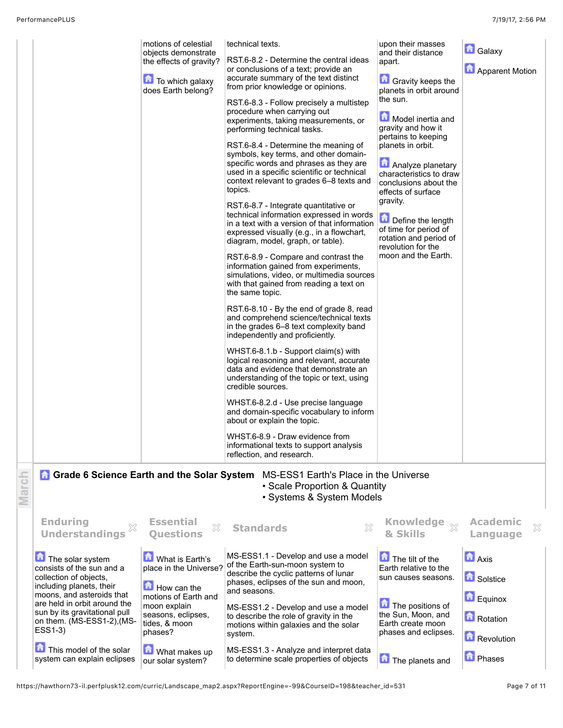|                                                                                                                                                                                                                                                                                                      | motions of celestial<br>objects demonstrate<br>the effects of gravity?<br><b>To which galaxy</b><br>does Earth belong?                                                                                  | technical texts.<br>RST.6-8.2 - Determine the central ideas<br>or conclusions of a text; provide an<br>accurate summary of the text distinct<br>from prior knowledge or opinions.<br>RST.6-8.3 - Follow precisely a multistep<br>procedure when carrying out<br>experiments, taking measurements, or<br>performing technical tasks.<br>RST.6-8.4 - Determine the meaning of<br>symbols, key terms, and other domain-<br>specific words and phrases as they are<br>used in a specific scientific or technical<br>context relevant to grades 6-8 texts and<br>topics.<br>RST.6-8.7 - Integrate quantitative or<br>technical information expressed in words<br>in a text with a version of that information<br>expressed visually (e.g., in a flowchart,<br>diagram, model, graph, or table).<br>RST.6-8.9 - Compare and contrast the<br>information gained from experiments,<br>simulations, video, or multimedia sources<br>with that gained from reading a text on<br>the same topic.<br>RST.6-8.10 - By the end of grade 8, read<br>and comprehend science/technical texts<br>in the grades 6–8 text complexity band<br>independently and proficiently.<br>WHST.6-8.1.b - Support claim(s) with<br>logical reasoning and relevant, accurate<br>data and evidence that demonstrate an<br>understanding of the topic or text, using<br>credible sources.<br>WHST.6-8.2.d - Use precise language<br>and domain-specific vocabulary to inform<br>about or explain the topic.<br>WHST.6-8.9 - Draw evidence from<br>informational texts to support analysis | upon their masses<br>and their distance<br>apart.<br><b>Gravity keeps the</b><br>planets in orbit around<br>the sun.<br>Model inertia and<br>gravity and how it<br>pertains to keeping<br>planets in orbit.<br>Analyze planetary<br>characteristics to draw<br>conclusions about the<br>effects of surface<br>gravity.<br>Define the length<br>of time for period of<br>rotation and period of<br>revolution for the<br>moon and the Earth. | <b>G</b> alaxy<br><b>Apparent Motion</b>                                          |
|------------------------------------------------------------------------------------------------------------------------------------------------------------------------------------------------------------------------------------------------------------------------------------------------------|---------------------------------------------------------------------------------------------------------------------------------------------------------------------------------------------------------|---------------------------------------------------------------------------------------------------------------------------------------------------------------------------------------------------------------------------------------------------------------------------------------------------------------------------------------------------------------------------------------------------------------------------------------------------------------------------------------------------------------------------------------------------------------------------------------------------------------------------------------------------------------------------------------------------------------------------------------------------------------------------------------------------------------------------------------------------------------------------------------------------------------------------------------------------------------------------------------------------------------------------------------------------------------------------------------------------------------------------------------------------------------------------------------------------------------------------------------------------------------------------------------------------------------------------------------------------------------------------------------------------------------------------------------------------------------------------------------------------------------------------------------------------------|---------------------------------------------------------------------------------------------------------------------------------------------------------------------------------------------------------------------------------------------------------------------------------------------------------------------------------------------------------------------------------------------------------------------------------------------|-----------------------------------------------------------------------------------|
| <b>Grade 6 Science Earth and the Solar System</b>                                                                                                                                                                                                                                                    |                                                                                                                                                                                                         | reflection, and research.<br>MS-ESS1 Earth's Place in the Universe<br>• Scale Proportion & Quantity<br>• Systems & System Models                                                                                                                                                                                                                                                                                                                                                                                                                                                                                                                                                                                                                                                                                                                                                                                                                                                                                                                                                                                                                                                                                                                                                                                                                                                                                                                                                                                                                        |                                                                                                                                                                                                                                                                                                                                                                                                                                             |                                                                                   |
| <b>Enduring</b><br><b>Understandings</b>                                                                                                                                                                                                                                                             | <b>Essential</b><br>X<br><b>Ouestions</b>                                                                                                                                                               | ×<br><b>Standards</b>                                                                                                                                                                                                                                                                                                                                                                                                                                                                                                                                                                                                                                                                                                                                                                                                                                                                                                                                                                                                                                                                                                                                                                                                                                                                                                                                                                                                                                                                                                                                   | Knowledge xx<br>& Skills                                                                                                                                                                                                                                                                                                                                                                                                                    | <b>Academic</b><br>×<br>Language                                                  |
| The solar system<br>consists of the sun and a<br>collection of objects,<br>including planets, their<br>moons, and asteroids that<br>are held in orbit around the<br>sun by its gravitational pull<br>on them. (MS-ESS1-2), (MS-<br>ESS1-3)<br>This model of the solar<br>system can explain eclipses | What is Earth's<br>place in the Universe?<br>$\blacksquare$ How can the<br>motions of Earth and<br>moon explain<br>seasons, eclipses,<br>tides, & moon<br>phases?<br>What makes up<br>our solar system? | MS-ESS1.1 - Develop and use a model<br>of the Earth-sun-moon system to<br>describe the cyclic patterns of lunar<br>phases, eclipses of the sun and moon,<br>and seasons.<br>MS-ESS1.2 - Develop and use a model<br>to describe the role of gravity in the<br>motions within galaxies and the solar<br>system.<br>MS-ESS1.3 - Analyze and interpret data<br>to determine scale properties of objects                                                                                                                                                                                                                                                                                                                                                                                                                                                                                                                                                                                                                                                                                                                                                                                                                                                                                                                                                                                                                                                                                                                                                     | The tilt of the<br>Earth relative to the<br>sun causes seasons.<br>The positions of<br>the Sun, Moon, and<br>Earth create moon<br>phases and eclipses.<br>The planets and                                                                                                                                                                                                                                                                   | <b>D</b> Axis<br>Solstice<br>Equinox<br>Rotation<br>Revolution<br><b>D</b> Phases |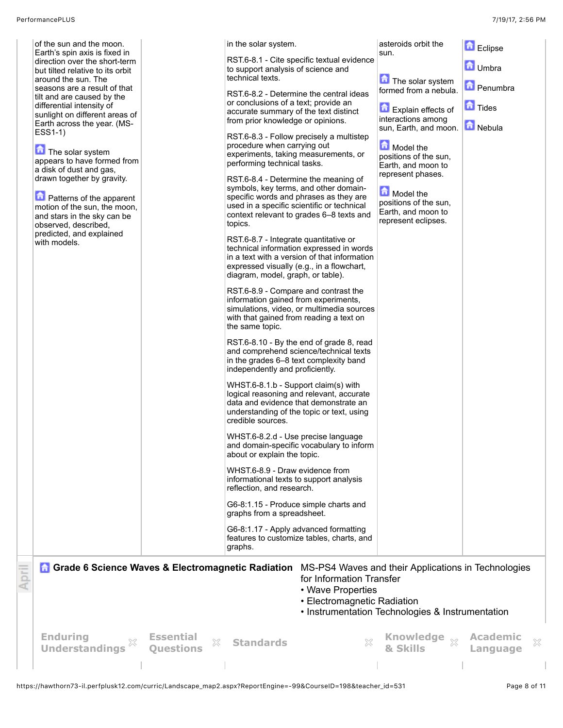| of the sun and the moon.<br>Earth's spin axis is fixed in<br>direction over the short-term<br>but tilted relative to its orbit<br>around the sun. The<br>seasons are a result of that<br>tilt and are caused by the<br>differential intensity of<br>sunlight on different areas of<br>Earth across the year. (MS-<br>ESS1-1)<br>The solar system<br>appears to have formed from<br>a disk of dust and gas,<br>drawn together by gravity.<br><b>n</b> Patterns of the apparent<br>motion of the sun, the moon,<br>and stars in the sky can be<br>observed, described,<br>predicted, and explained<br>with models. |                                           | in the solar system.<br>to support analysis of science and<br>technical texts.<br>or conclusions of a text; provide an<br>accurate summary of the text distinct<br>from prior knowledge or opinions.<br>procedure when carrying out<br>experiments, taking measurements, or<br>performing technical tasks.<br>RST.6-8.4 - Determine the meaning of<br>symbols, key terms, and other domain-<br>topics.<br>RST.6-8.7 - Integrate quantitative or<br>expressed visually (e.g., in a flowchart,<br>diagram, model, graph, or table).<br>RST.6-8.9 - Compare and contrast the<br>information gained from experiments,<br>with that gained from reading a text on<br>the same topic.<br>in the grades 6–8 text complexity band<br>independently and proficiently.<br>WHST.6-8.1.b - Support claim(s) with<br>credible sources.<br>WHST.6-8.2.d - Use precise language<br>about or explain the topic.<br>WHST.6-8.9 - Draw evidence from<br>informational texts to support analysis<br>reflection, and research.<br>G6-8:1.15 - Produce simple charts and<br>graphs from a spreadsheet.<br>G6-8:1.17 - Apply advanced formatting<br>graphs. | RST.6-8.1 - Cite specific textual evidence<br>RST.6-8.2 - Determine the central ideas<br>RST.6-8.3 - Follow precisely a multistep<br>specific words and phrases as they are<br>used in a specific scientific or technical<br>context relevant to grades 6-8 texts and<br>technical information expressed in words<br>in a text with a version of that information<br>simulations, video, or multimedia sources<br>RST.6-8.10 - By the end of grade 8, read<br>and comprehend science/technical texts<br>logical reasoning and relevant, accurate<br>data and evidence that demonstrate an<br>understanding of the topic or text, using<br>and domain-specific vocabulary to inform<br>features to customize tables, charts, and | asteroids orbit the<br>sun.<br>The solar system<br>formed from a nebula.<br><b>Explain effects of</b><br>interactions among<br>sun, Earth, and moon. <b>D</b> Nebula<br>Model the<br>positions of the sun,<br>Earth, and moon to<br>represent phases.<br>Model the<br>positions of the sun,<br>Earth, and moon to<br>represent eclipses. | <b>n</b><br>Eclipse<br><b>D</b> Umbra<br><b>D</b> Penumbra<br><b>n</b> Tides |
|------------------------------------------------------------------------------------------------------------------------------------------------------------------------------------------------------------------------------------------------------------------------------------------------------------------------------------------------------------------------------------------------------------------------------------------------------------------------------------------------------------------------------------------------------------------------------------------------------------------|-------------------------------------------|---------------------------------------------------------------------------------------------------------------------------------------------------------------------------------------------------------------------------------------------------------------------------------------------------------------------------------------------------------------------------------------------------------------------------------------------------------------------------------------------------------------------------------------------------------------------------------------------------------------------------------------------------------------------------------------------------------------------------------------------------------------------------------------------------------------------------------------------------------------------------------------------------------------------------------------------------------------------------------------------------------------------------------------------------------------------------------------------------------------------------------------|---------------------------------------------------------------------------------------------------------------------------------------------------------------------------------------------------------------------------------------------------------------------------------------------------------------------------------------------------------------------------------------------------------------------------------------------------------------------------------------------------------------------------------------------------------------------------------------------------------------------------------------------------------------------------------------------------------------------------------|------------------------------------------------------------------------------------------------------------------------------------------------------------------------------------------------------------------------------------------------------------------------------------------------------------------------------------------|------------------------------------------------------------------------------|
| <b>Grade 6 Science Waves &amp; Electromagnetic Radiation</b>                                                                                                                                                                                                                                                                                                                                                                                                                                                                                                                                                     |                                           |                                                                                                                                                                                                                                                                                                                                                                                                                                                                                                                                                                                                                                                                                                                                                                                                                                                                                                                                                                                                                                                                                                                                       | for Information Transfer<br>• Wave Properties<br>• Electromagnetic Radiation                                                                                                                                                                                                                                                                                                                                                                                                                                                                                                                                                                                                                                                    | MS-PS4 Waves and their Applications in Technologies<br>• Instrumentation Technologies & Instrumentation                                                                                                                                                                                                                                  |                                                                              |
| <b>Enduring</b><br><b>Understandings</b>                                                                                                                                                                                                                                                                                                                                                                                                                                                                                                                                                                         | <b>Essential</b><br>X<br><b>Questions</b> | <b>Standards</b>                                                                                                                                                                                                                                                                                                                                                                                                                                                                                                                                                                                                                                                                                                                                                                                                                                                                                                                                                                                                                                                                                                                      | X                                                                                                                                                                                                                                                                                                                                                                                                                                                                                                                                                                                                                                                                                                                               | <b>Knowledge</b><br>& Skills                                                                                                                                                                                                                                                                                                             | <b>Academic</b><br>×<br>Language                                             |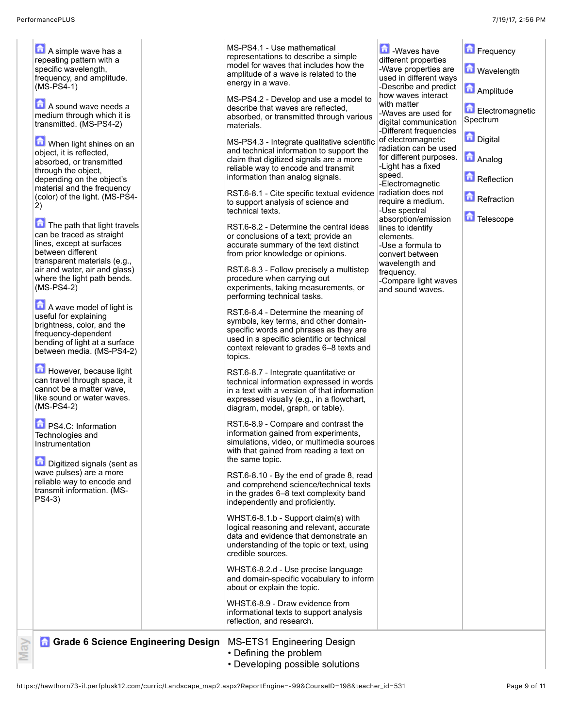**A** A simple wave has a repeating pattern with a specific wavelength, frequency, and amplitude. (MS-PS4-1)

**A** A sound wave needs a medium through which it is transmitted. (MS-PS4-2)

**D** When light shines on an object, it is reflected, absorbed, or transmitted through the object, depending on the object's material and the frequency (color) of the light. (MS-PS4- 2)

The path that light travels can be traced as straight lines, except at surfaces between different transparent materials (e.g., air and water, air and glass) where the light path bends. (MS-PS4-2)

A wave model of light is useful for explaining brightness, color, and the frequency-dependent bending of light at a surface between media. (MS-PS4-2)

However, because light can travel through space, it cannot be a matter wave, like sound or water waves. (MS-PS4-2)

**D** PS4.C: Information Technologies and Instrumentation

ਫ਼ੇ Ξ

**Digitized signals (sent as** wave pulses) are a more reliable way to encode and transmit information. (MS-PS4-3)

 $MS-PS$ represe model amplitu energy

MS-PS describ absorbe materia

MS-PS and tech claim th reliable informa

RST.6to supp technic

RST.6or conc accurat from pri

RST.6procedu experin perform

 $RST.6-8$ symbol specific used in context topics.

RST.6technic in a text express diagrar

RST.6informa simulat with that the sar

RST.6and cor in the  $g$ indepe

WHST. logical data ar underst credible

WHST. and do about c

WHST. informa reflectio

**Grade 6 Science Engineering Design MS-E** 

- Defining the problem
- Developing possible solutions

| 4.1 - Use mathematical<br>entations to describe a simple<br>for waves that includes how the<br>ide of a wave is related to the<br>in a wave.<br>4.2 - Develop and use a model to<br>e that waves are reflected,<br>ed, or transmitted through various<br>als.<br>4.3 - Integrate gualitative scientific<br>chnical information to support the<br>nat digitized signals are a more<br>way to encode and transmit<br>ation than analog signals.                                                                                                                                                                                                                                                                                                                                                                                                                                                                                                                                                                                                                                                                                                                                                                                                                                                                                                                                              | <b>Mayes</b> have<br>different properties<br>-Wave properties are<br>used in different ways<br>-Describe and predict<br>how waves interact<br>with matter<br>-Waves are used for<br>digital communication<br>-Different frequencies<br>of electromagnetic<br>radiation can be used<br>for different purposes.<br>-Light has a fixed<br>speed.<br>-Electromagnetic | Frequency<br><b>Mavelength</b><br><b>A</b> Amplitude<br>Electromagnetic<br>Spectrum<br><b>Digital</b><br>Analog<br>Reflection |  |
|--------------------------------------------------------------------------------------------------------------------------------------------------------------------------------------------------------------------------------------------------------------------------------------------------------------------------------------------------------------------------------------------------------------------------------------------------------------------------------------------------------------------------------------------------------------------------------------------------------------------------------------------------------------------------------------------------------------------------------------------------------------------------------------------------------------------------------------------------------------------------------------------------------------------------------------------------------------------------------------------------------------------------------------------------------------------------------------------------------------------------------------------------------------------------------------------------------------------------------------------------------------------------------------------------------------------------------------------------------------------------------------------|-------------------------------------------------------------------------------------------------------------------------------------------------------------------------------------------------------------------------------------------------------------------------------------------------------------------------------------------------------------------|-------------------------------------------------------------------------------------------------------------------------------|--|
| 8.1 - Cite specific textual evidence<br>oort analysis of science and<br>al texts.<br>8.2 - Determine the central ideas<br>clusions of a text; provide an<br>te summary of the text distinct<br>ior knowledge or opinions.<br>8.3 - Follow precisely a multistep<br>ure when carrying out<br>nents, taking measurements, or<br>ning technical tasks.<br>8.4 - Determine the meaning of<br>ls, key terms, and other domain-<br>c words and phrases as they are<br>a specific scientific or technical<br>t relevant to grades 6–8 texts and<br>8.7 - Integrate quantitative or<br>al information expressed in words<br>t with a version of that information<br>sed visually (e.g., in a flowchart,<br>n, model, graph, or table).<br>8.9 - Compare and contrast the<br>ation gained from experiments,<br>ions, video, or multimedia sources<br>at gained from reading a text on<br>ne topic.<br>8.10 - By the end of grade 8, read<br>mprehend science/technical texts<br>rades 6-8 text complexity band<br>ndently and proficiently.<br>6-8.1.b - Support claim(s) with<br>reasoning and relevant, accurate<br>nd evidence that demonstrate an<br>tanding of the topic or text, using<br>e sources.<br>6-8.2.d - Use precise language<br>main-specific vocabulary to inform<br>or explain the topic.<br>6-8.9 - Draw evidence from<br>ational texts to support analysis<br>on, and research. | radiation does not<br>require a medium.<br>-Use spectral<br>absorption/emission<br>lines to identify<br>elements.<br>-Use a formula to<br>convert between<br>wavelength and<br>frequency.<br>-Compare light waves<br>and sound waves.                                                                                                                             | <b>Refraction</b><br>命<br>Telescope                                                                                           |  |
| <b>TS1 Engineering Design</b>                                                                                                                                                                                                                                                                                                                                                                                                                                                                                                                                                                                                                                                                                                                                                                                                                                                                                                                                                                                                                                                                                                                                                                                                                                                                                                                                                              |                                                                                                                                                                                                                                                                                                                                                                   |                                                                                                                               |  |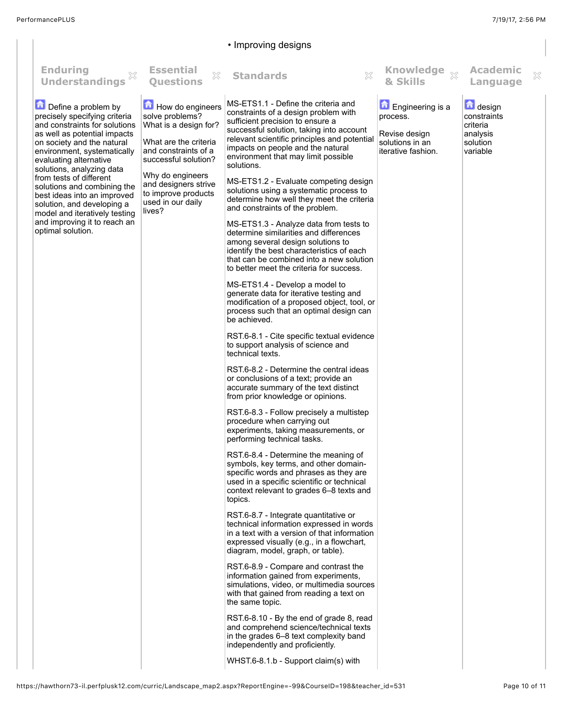## • Improving designs **Questions Standards Knowledge Enduring Essential Academic** X **Understandings & Skills Language** MS-ETS1.1 - Define the criteria and Define a problem by How do engineers **Engineering is a** design constraints of a design problem with precisely specifying criteria solve problems? process. constraints sufficient precision to ensure a What is a design for? criteria and constraints for solutions successful solution, taking into account as well as potential impacts analysis Revise design relevant scientific principles and potential What are the criteria solutions in an solution on society and the natural impacts on people and the natural and constraints of a iterative fashion. variableenvironment, systematically environment that may limit possible successful solution? evaluating alternative solutions. solutions, analyzing data Why do engineers from tests of different MS-ETS1.2 - Evaluate competing design and designers strive solutions and combining the solutions using a systematic process to to improve products best ideas into an improved determine how well they meet the criteria used in our daily solution, and developing a and constraints of the problem. lives? model and iteratively testing and improving it to reach an MS-ETS1.3 - Analyze data from tests to optimal solution. determine similarities and differences among several design solutions to identify the best characteristics of each that can be combined into a new solution to better meet the criteria for success. MS-ETS1.4 - Develop a model to generate data for iterative testing and modification of a proposed object, tool, or process such that an optimal design can be achieved. RST.6-8.1 - Cite specific textual evidence to support analysis of science and technical texts. RST.6-8.2 - Determine the central ideas or conclusions of a text; provide an accurate summary of the text distinct from prior knowledge or opinions. RST.6-8.3 - Follow precisely a multistep procedure when carrying out experiments, taking measurements, or performing technical tasks. RST.6-8.4 - Determine the meaning of symbols, key terms, and other domainspecific words and phrases as they are used in a specific scientific or technical context relevant to grades 6–8 texts and topics. RST.6-8.7 - Integrate quantitative or technical information expressed in words in a text with a version of that information expressed visually (e.g., in a flowchart, diagram, model, graph, or table). RST.6-8.9 - Compare and contrast the information gained from experiments, simulations, video, or multimedia sources with that gained from reading a text on the same topic. RST.6-8.10 - By the end of grade 8, read and comprehend science/technical texts in the grades 6–8 text complexity band independently and proficiently. WHST.6-8.1.b - Support claim(s) with